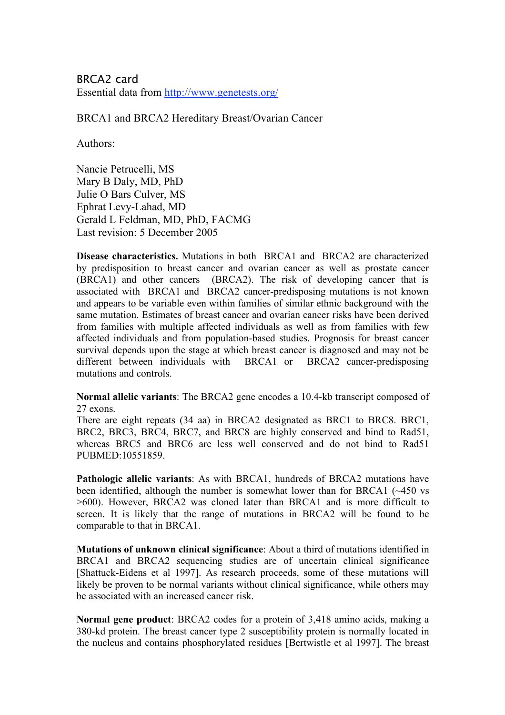BRCA2 card Essential data from http://www.genetests.org/

BRCA1 and BRCA2 Hereditary Breast/Ovarian Cancer

Authors:

Nancie Petrucelli, MS Mary B Daly, MD, PhD Julie O Bars Culver, MS Ephrat Levy-Lahad, MD Gerald L Feldman, MD, PhD, FACMG Last revision: 5 December 2005

**Disease characteristics.** Mutations in both BRCA1 and BRCA2 are characterized by predisposition to breast cancer and ovarian cancer as well as prostate cancer (BRCA1) and other cancers (BRCA2). The risk of developing cancer that is associated with BRCA1 and BRCA2 cancer-predisposing mutations is not known and appears to be variable even within families of similar ethnic background with the same mutation. Estimates of breast cancer and ovarian cancer risks have been derived from families with multiple affected individuals as well as from families with few affected individuals and from population-based studies. Prognosis for breast cancer survival depends upon the stage at which breast cancer is diagnosed and may not be different between individuals with BRCA1 or BRCA2 cancer-predisposing mutations and controls.

**Normal allelic variants**: The BRCA2 gene encodes a 10.4-kb transcript composed of 27 exons.

There are eight repeats (34 aa) in BRCA2 designated as BRC1 to BRC8. BRC1, BRC2, BRC3, BRC4, BRC7, and BRC8 are highly conserved and bind to Rad51, whereas BRC5 and BRC6 are less well conserved and do not bind to Rad51 PUBMED:10551859.

**Pathologic allelic variants**: As with BRCA1, hundreds of BRCA2 mutations have been identified, although the number is somewhat lower than for BRCA1 (~450 vs >600). However, BRCA2 was cloned later than BRCA1 and is more difficult to screen. It is likely that the range of mutations in BRCA2 will be found to be comparable to that in BRCA1.

**Mutations of unknown clinical significance**: About a third of mutations identified in BRCA1 and BRCA2 sequencing studies are of uncertain clinical significance [Shattuck-Eidens et al 1997]. As research proceeds, some of these mutations will likely be proven to be normal variants without clinical significance, while others may be associated with an increased cancer risk.

**Normal gene product**: BRCA2 codes for a protein of 3,418 amino acids, making a 380-kd protein. The breast cancer type 2 susceptibility protein is normally located in the nucleus and contains phosphorylated residues [Bertwistle et al 1997]. The breast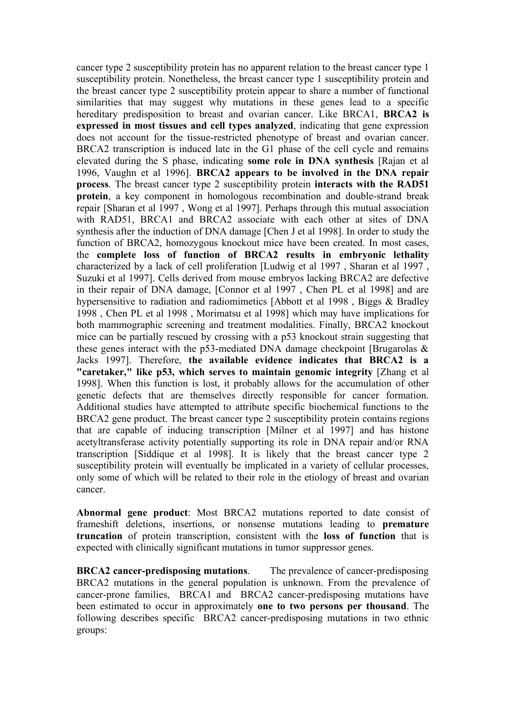cancer type 2 susceptibility protein has no apparent relation to the breast cancer type 1 susceptibility protein. Nonetheless, the breast cancer type 1 susceptibility protein and the breast cancer type 2 susceptibility protein appear to share a number of functional similarities that may suggest why mutations in these genes lead to a specific hereditary predisposition to breast and ovarian cancer. Like BRCA1, **BRCA2 is expressed in most tissues and cell types analyzed**, indicating that gene expression does not account for the tissue-restricted phenotype of breast and ovarian cancer. BRCA2 transcription is induced late in the G1 phase of the cell cycle and remains elevated during the S phase, indicating **some role in DNA synthesis** [Rajan et al 1996, Vaughn et al 1996]. **BRCA2 appears to be involved in the DNA repair process**. The breast cancer type 2 susceptibility protein **interacts with the RAD51 protein**, a key component in homologous recombination and double-strand break repair [Sharan et al 1997 , Wong et al 1997]. Perhaps through this mutual association with RAD51, BRCA1 and BRCA2 associate with each other at sites of DNA synthesis after the induction of DNA damage [Chen J et al 1998]. In order to study the function of BRCA2, homozygous knockout mice have been created. In most cases, the **complete loss of function of BRCA2 results in embryonic lethality** characterized by a lack of cell proliferation [Ludwig et al 1997 , Sharan et al 1997 , Suzuki et al 1997]. Cells derived from mouse embryos lacking BRCA2 are defective in their repair of DNA damage, [Connor et al 1997 , Chen PL et al 1998] and are hypersensitive to radiation and radiomimetics [Abbott et al 1998 , Biggs & Bradley 1998 , Chen PL et al 1998 , Morimatsu et al 1998] which may have implications for both mammographic screening and treatment modalities. Finally, BRCA2 knockout mice can be partially rescued by crossing with a p53 knockout strain suggesting that these genes interact with the p53-mediated DNA damage checkpoint [Brugarolas  $\&$ Jacks 1997]. Therefore, **the available evidence indicates that BRCA2 is a "caretaker," like p53, which serves to maintain genomic integrity** [Zhang et al 1998]. When this function is lost, it probably allows for the accumulation of other genetic defects that are themselves directly responsible for cancer formation. Additional studies have attempted to attribute specific biochemical functions to the BRCA2 gene product. The breast cancer type 2 susceptibility protein contains regions that are capable of inducing transcription [Milner et al 1997] and has histone acetyltransferase activity potentially supporting its role in DNA repair and/or RNA transcription [Siddique et al 1998]. It is likely that the breast cancer type 2 susceptibility protein will eventually be implicated in a variety of cellular processes, only some of which will be related to their role in the etiology of breast and ovarian cancer.

**Abnormal gene product**: Most BRCA2 mutations reported to date consist of frameshift deletions, insertions, or nonsense mutations leading to **premature truncation** of protein transcription, consistent with the **loss of function** that is expected with clinically significant mutations in tumor suppressor genes.

**BRCA2 cancer-predisposing mutations**. The prevalence of cancer-predisposing BRCA2 mutations in the general population is unknown. From the prevalence of cancer-prone families, BRCA1 and BRCA2 cancer-predisposing mutations have been estimated to occur in approximately **one to two persons per thousand**. The following describes specific BRCA2 cancer-predisposing mutations in two ethnic groups: